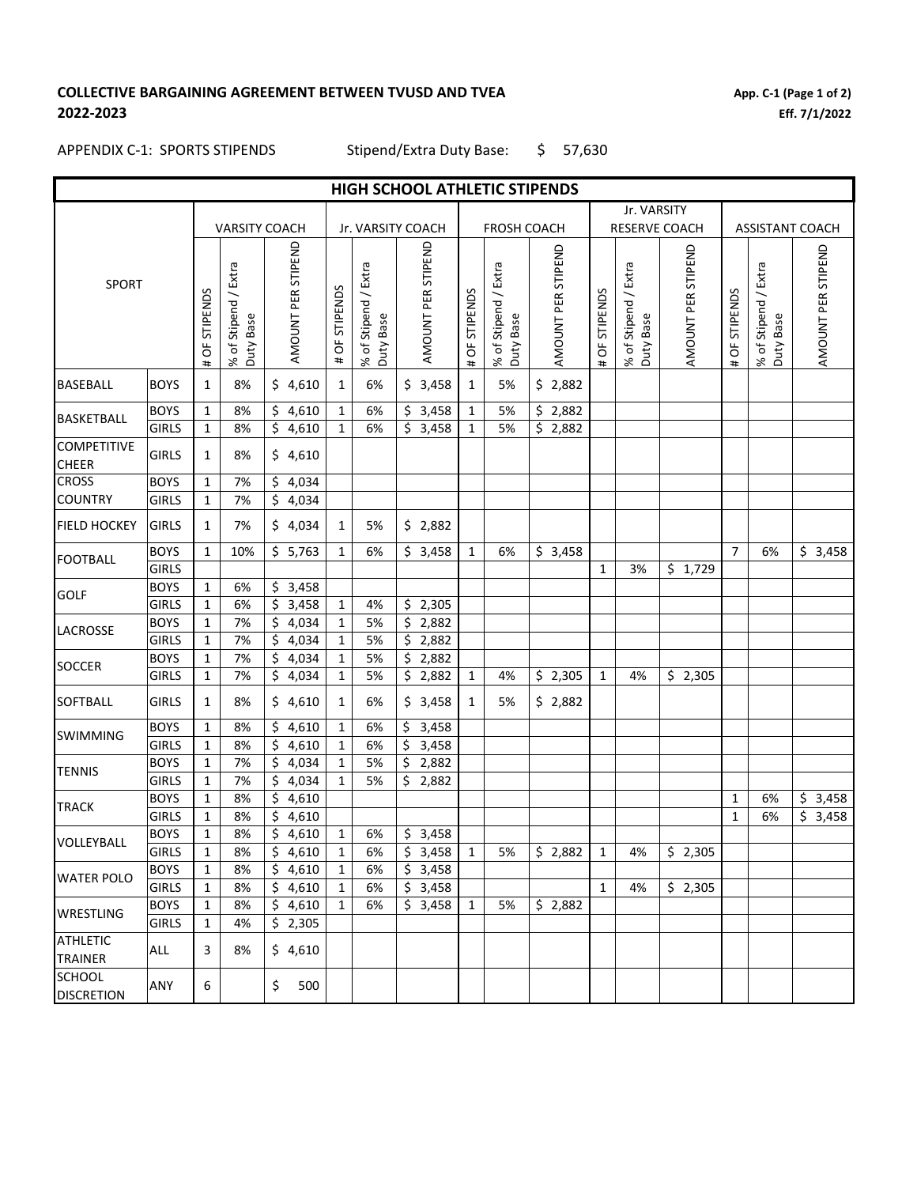## **COLLECTIVE BARGAINING AGREEMENT BETWEEN TVUSD AND TVEA 2022-2023**

**App. C-1 (Page 1 of 2) Eff. 7/1/2022**

# APPENDIX C-1: SPORTS STIPENDS

Stipend/Extra Duty Base: \$ 57,630

| HIGH SCHOOL ATHLETIC STIPENDS      |              |               |                                           |                      |                  |                                            |    |                       |               |                                   |  |                    |               |                                   |  |                    |                |                                             |  |                    |
|------------------------------------|--------------|---------------|-------------------------------------------|----------------------|------------------|--------------------------------------------|----|-----------------------|---------------|-----------------------------------|--|--------------------|---------------|-----------------------------------|--|--------------------|----------------|---------------------------------------------|--|--------------------|
|                                    |              |               |                                           |                      |                  |                                            |    |                       | Jr. VARSITY   |                                   |  |                    |               |                                   |  |                    |                |                                             |  |                    |
|                                    |              |               | <b>VARSITY COACH</b>                      |                      |                  | Jr. VARSITY COACH                          |    |                       |               | <b>FROSH COACH</b>                |  |                    |               | RESERVE COACH                     |  |                    |                | <b>ASSISTANT COACH</b>                      |  |                    |
| <b>SPORT</b>                       |              | # OF STIPENDS | Stipend / Extra<br>Base<br>% of :<br>Duty | AMOUNT PER STIPEND   | OF STIPENDS<br># | Stipend / Extra<br>Duty Base<br>$%$ of $.$ |    | AMOUNT PER STIPEND    | # OF STIPENDS | % of Stipend / Extra<br>Duty Base |  | AMOUNT PER STIPEND | # OF STIPENDS | % of Stipend / Extra<br>Duty Base |  | AMOUNT PER STIPEND | # OF STIPENDS  | % of Stipend / Extra<br><b>Base</b><br>Duty |  | AMOUNT PER STIPEND |
| <b>BASEBALL</b>                    | <b>BOYS</b>  | $\mathbf{1}$  | 8%                                        | \$4,610              | $\mathbf{1}$     | 6%                                         |    | \$3,458               | 1             | 5%                                |  | \$2,882            |               |                                   |  |                    |                |                                             |  |                    |
| <b>BASKETBALL</b>                  | <b>BOYS</b>  | 1             | 8%                                        | \$4,610              | 1                | 6%                                         |    | \$3,458               | 1             | 5%                                |  | \$2,882            |               |                                   |  |                    |                |                                             |  |                    |
|                                    | <b>GIRLS</b> | $\mathbf{1}$  | 8%                                        | \$4,610              | $\mathbf{1}$     | 6%                                         |    | \$3,458               | $\mathbf{1}$  | 5%                                |  | \$2,882            |               |                                   |  |                    |                |                                             |  |                    |
| <b>COMPETITIVE</b><br>CHEER        | <b>GIRLS</b> | 1             | 8%                                        | \$4,610              |                  |                                            |    |                       |               |                                   |  |                    |               |                                   |  |                    |                |                                             |  |                    |
| <b>CROSS</b>                       | <b>BOYS</b>  | $\mathbf{1}$  | 7%                                        | \$4,034              |                  |                                            |    |                       |               |                                   |  |                    |               |                                   |  |                    |                |                                             |  |                    |
| <b>COUNTRY</b>                     | <b>GIRLS</b> | $\mathbf{1}$  | 7%                                        | \$4,034              |                  |                                            |    |                       |               |                                   |  |                    |               |                                   |  |                    |                |                                             |  |                    |
| <b>FIELD HOCKEY</b>                | <b>GIRLS</b> | 1             | 7%                                        | \$4,034              | 1                | 5%                                         |    | \$2,882               |               |                                   |  |                    |               |                                   |  |                    |                |                                             |  |                    |
| <b>FOOTBALL</b>                    | <b>BOYS</b>  | $\mathbf{1}$  | 10%                                       | \$5,763              | 1                | 6%                                         |    | \$3,458               | 1             | 6%                                |  | \$3,458            |               |                                   |  |                    | $\overline{7}$ | 6%                                          |  | \$3,458            |
|                                    | <b>GIRLS</b> |               |                                           |                      |                  |                                            |    |                       |               |                                   |  |                    | $\mathbf{1}$  | 3%                                |  | \$1,729            |                |                                             |  |                    |
| <b>GOLF</b>                        | <b>BOYS</b>  | $\mathbf{1}$  | 6%                                        | \$3,458              |                  |                                            |    |                       |               |                                   |  |                    |               |                                   |  |                    |                |                                             |  |                    |
|                                    | <b>GIRLS</b> | $\mathbf{1}$  | 6%                                        | \$3,458              | $\mathbf{1}$     | 4%                                         |    | \$2,305               |               |                                   |  |                    |               |                                   |  |                    |                |                                             |  |                    |
| LACROSSE                           | <b>BOYS</b>  | $\mathbf{1}$  | 7%                                        | \$4,034              | 1                | 5%                                         |    | \$2,882               |               |                                   |  |                    |               |                                   |  |                    |                |                                             |  |                    |
|                                    | <b>GIRLS</b> | $\mathbf{1}$  | 7%                                        | \$4,034              | $\mathbf{1}$     | 5%                                         |    | \$2,882               |               |                                   |  |                    |               |                                   |  |                    |                |                                             |  |                    |
| SOCCER                             | <b>BOYS</b>  | $\mathbf{1}$  | 7%                                        | 4,034<br>\$          | 1                | 5%                                         |    | \$2,882               |               |                                   |  |                    |               |                                   |  |                    |                |                                             |  |                    |
|                                    | <b>GIRLS</b> | 1             | 7%                                        | 4,034<br>\$          | 1                | 5%                                         |    | \$2,882               | 1             | 4%                                |  | \$2,305            | $\mathbf{1}$  | 4%                                |  | \$2,305            |                |                                             |  |                    |
| <b>SOFTBALL</b>                    | <b>GIRLS</b> | 1             | 8%                                        | \$4,610              | 1                | 6%                                         |    | \$3,458               | 1             | 5%                                |  | \$2,882            |               |                                   |  |                    |                |                                             |  |                    |
| <b>SWIMMING</b>                    | <b>BOYS</b>  | $\mathbf{1}$  | 8%                                        | \$4,610              | $\mathbf{1}$     | 6%                                         |    | \$3,458               |               |                                   |  |                    |               |                                   |  |                    |                |                                             |  |                    |
|                                    | <b>GIRLS</b> | 1             | 8%                                        | \$4,610              | $\mathbf{1}$     | 6%                                         | \$ | 3,458                 |               |                                   |  |                    |               |                                   |  |                    |                |                                             |  |                    |
| <b>TENNIS</b>                      | <b>BOYS</b>  | $\mathbf{1}$  | 7%                                        | \$4,034              | 1                | 5%                                         |    | \$2,882               |               |                                   |  |                    |               |                                   |  |                    |                |                                             |  |                    |
|                                    | <b>GIRLS</b> | $\mathbf{1}$  | 7%                                        | \$4,034              | $\mathbf{1}$     | 5%                                         |    | \$2,882               |               |                                   |  |                    |               |                                   |  |                    |                |                                             |  |                    |
| <b>TRACK</b>                       | <b>BOYS</b>  | $\mathbf{1}$  | 8%                                        | \$4,610              |                  |                                            |    |                       |               |                                   |  |                    |               |                                   |  |                    | 1              | 6%                                          |  | \$3,458            |
|                                    | <b>GIRLS</b> | $\mathbf{1}$  | 8%                                        | \$4,610              |                  |                                            |    |                       |               |                                   |  |                    |               |                                   |  |                    | $\mathbf{1}$   | 6%                                          |  | \$3,458            |
| VOLLEYBALL                         | <b>BOYS</b>  | $\mathbf{1}$  | 8%                                        | \$4,610              | 1                | 6%                                         |    | \$3,458               |               |                                   |  |                    |               |                                   |  |                    |                |                                             |  |                    |
|                                    | <b>GIRLS</b> | $\mathbf 1$   | 8%                                        | $\overline{5}$ 4,610 | $\mathbf 1$      | $6\%$                                      |    | $\overline{\$}$ 3,458 | $\mathbf 1$   | 5%                                |  | \$2,882            | $\mathbf{1}$  | 4%                                |  | \$2,305            |                |                                             |  |                    |
| <b>WATER POLO</b>                  | <b>BOYS</b>  | $\mathbf{1}$  | 8%                                        | \$4,610              | 1                | 6%                                         |    | \$3,458               |               |                                   |  |                    |               |                                   |  |                    |                |                                             |  |                    |
|                                    | <b>GIRLS</b> | 1             | 8%                                        | \$4,610              | 1                | 6%                                         |    | \$3,458               |               |                                   |  |                    | $\mathbf{1}$  | 4%                                |  | \$2,305            |                |                                             |  |                    |
| WRESTLING                          | <b>BOYS</b>  | $\mathbf{1}$  | 8%                                        | \$4,610              | 1                | 6%                                         |    | \$3,458               | $\mathbf{1}$  | 5%                                |  | \$2,882            |               |                                   |  |                    |                |                                             |  |                    |
|                                    | <b>GIRLS</b> | $\mathbf{1}$  | 4%                                        | \$2,305              |                  |                                            |    |                       |               |                                   |  |                    |               |                                   |  |                    |                |                                             |  |                    |
| <b>ATHLETIC</b><br>TRAINER         | ALL          | 3             | 8%                                        | \$4,610              |                  |                                            |    |                       |               |                                   |  |                    |               |                                   |  |                    |                |                                             |  |                    |
| <b>SCHOOL</b><br><b>DISCRETION</b> | ANY          | 6             |                                           | \$<br>500            |                  |                                            |    |                       |               |                                   |  |                    |               |                                   |  |                    |                |                                             |  |                    |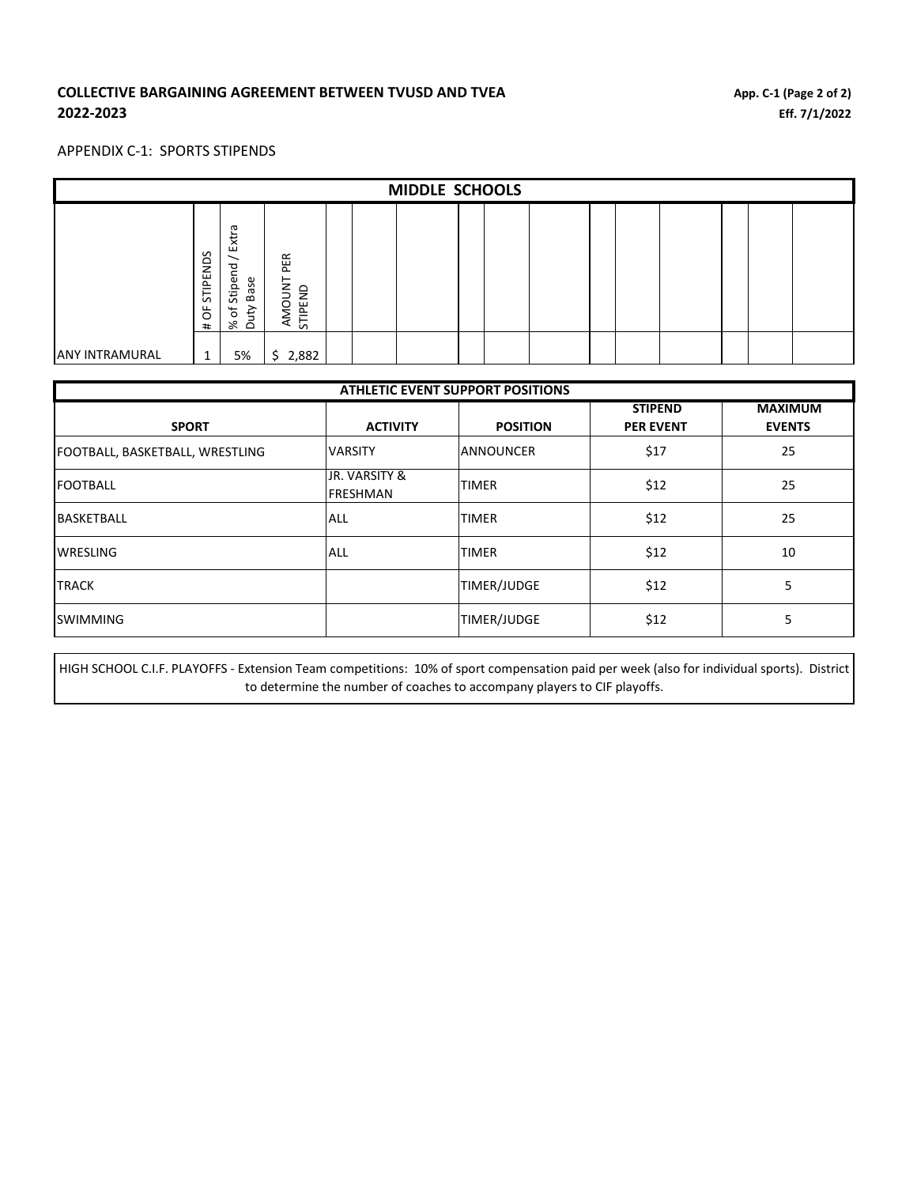### **COLLECTIVE BARGAINING AGREEMENT BETWEEN TVUSD AND TVEA 2022-2023**

#### APPENDIX C-1: SPORTS STIPENDS

| <b>MIDDLE SCHOOLS</b> |                            |                                                         |                              |  |  |  |  |  |  |  |  |  |  |
|-----------------------|----------------------------|---------------------------------------------------------|------------------------------|--|--|--|--|--|--|--|--|--|--|
|                       | STIPENDS<br>ŏ<br>#         | ᠊ᡴᠣ<br>Extr<br>짇<br>Stipe<br>Base<br>৳<br>Ηŗ<br>৯ৎ<br>Ō | PER<br>AMOUNT<br>IPEND<br>57 |  |  |  |  |  |  |  |  |  |  |
| <b>ANY INTRAMURAL</b> | $\overline{ }$<br><b>T</b> | 5%                                                      | 2,882<br>S.                  |  |  |  |  |  |  |  |  |  |  |

| <b>ATHLETIC EVENT SUPPORT POSITIONS</b> |                 |                  |                  |                |  |  |  |  |  |
|-----------------------------------------|-----------------|------------------|------------------|----------------|--|--|--|--|--|
|                                         |                 |                  | <b>STIPEND</b>   | <b>MAXIMUM</b> |  |  |  |  |  |
| <b>SPORT</b>                            | <b>ACTIVITY</b> | <b>POSITION</b>  | <b>PER EVENT</b> | <b>EVENTS</b>  |  |  |  |  |  |
| FOOTBALL, BASKETBALL, WRESTLING         | <b>VARSITY</b>  | <b>ANNOUNCER</b> | \$17             | 25             |  |  |  |  |  |
| <b>FOOTBALL</b>                         | JR. VARSITY &   | <b>TIMER</b>     | \$12             | 25             |  |  |  |  |  |
|                                         | <b>FRESHMAN</b> |                  |                  |                |  |  |  |  |  |
| <b>BASKETBALL</b>                       | ALL             | <b>TIMER</b>     | \$12             | 25             |  |  |  |  |  |
| <b>WRESLING</b>                         | ALL             | <b>TIMER</b>     | \$12             | 10             |  |  |  |  |  |
|                                         |                 |                  |                  |                |  |  |  |  |  |
| <b>TRACK</b>                            |                 | TIMER/JUDGE      | \$12             | 5              |  |  |  |  |  |
| <b>SWIMMING</b>                         |                 | TIMER/JUDGE      | \$12             | 5              |  |  |  |  |  |

HIGH SCHOOL C.I.F. PLAYOFFS - Extension Team competitions: 10% of sport compensation paid per week (also for individual sports). District to determine the number of coaches to accompany players to CIF playoffs.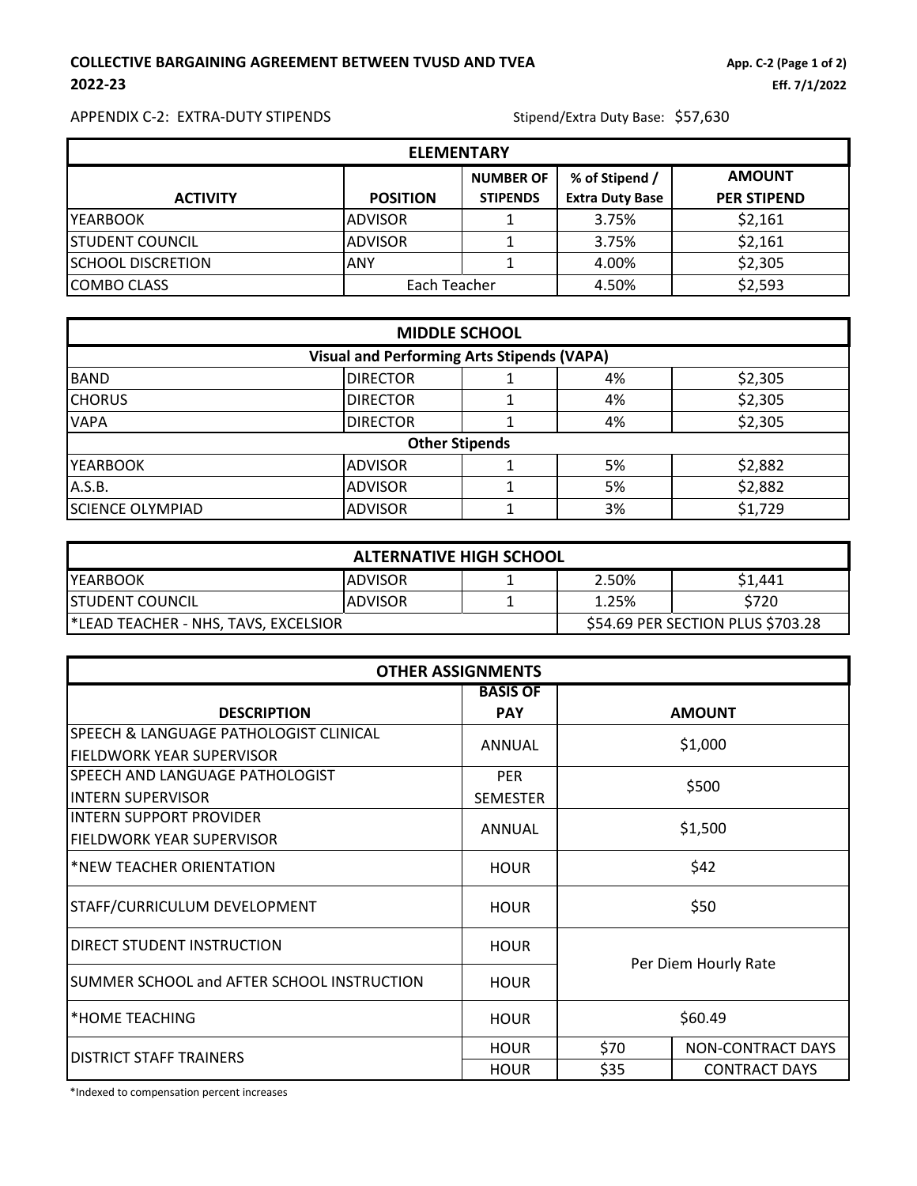# **COLLECTIVE BARGAINING AGREEMENT BETWEEN TVUSD AND TVEA App. C-2** (Page 1 of 2) **2022-23 Eff. 7/1/2022**

APPENDIX C-2: EXTRA-DUTY STIPENDS<br>
Stipend/Extra Duty Base: \$57,630

| <b>ELEMENTARY</b>        |                 |                                     |                                          |                                     |  |  |  |  |  |
|--------------------------|-----------------|-------------------------------------|------------------------------------------|-------------------------------------|--|--|--|--|--|
| <b>ACTIVITY</b>          | <b>POSITION</b> | <b>NUMBER OF</b><br><b>STIPENDS</b> | % of Stipend /<br><b>Extra Duty Base</b> | <b>AMOUNT</b><br><b>PER STIPEND</b> |  |  |  |  |  |
| <b>IYEARBOOK</b>         | <b>ADVISOR</b>  |                                     | 3.75%                                    | \$2,161                             |  |  |  |  |  |
| <b>STUDENT COUNCIL</b>   | <b>ADVISOR</b>  |                                     | 3.75%                                    | \$2,161                             |  |  |  |  |  |
| <b>SCHOOL DISCRETION</b> | ANY             |                                     | 4.00%                                    | \$2,305                             |  |  |  |  |  |
| <b>COMBO CLASS</b>       | Each Teacher    |                                     | 4.50%                                    | \$2,593                             |  |  |  |  |  |

| <b>MIDDLE SCHOOL</b>                              |                 |                       |    |         |  |  |  |  |
|---------------------------------------------------|-----------------|-----------------------|----|---------|--|--|--|--|
| <b>Visual and Performing Arts Stipends (VAPA)</b> |                 |                       |    |         |  |  |  |  |
| <b>BAND</b>                                       | <b>DIRECTOR</b> |                       | 4% | \$2,305 |  |  |  |  |
| <b>CHORUS</b>                                     | <b>DIRECTOR</b> |                       | 4% | \$2,305 |  |  |  |  |
| <b>VAPA</b>                                       | <b>DIRECTOR</b> |                       | 4% | \$2,305 |  |  |  |  |
|                                                   |                 | <b>Other Stipends</b> |    |         |  |  |  |  |
| <b>YEARBOOK</b>                                   | <b>ADVISOR</b>  |                       | 5% | \$2,882 |  |  |  |  |
| A.S.B.                                            | <b>ADVISOR</b>  |                       | 5% | \$2,882 |  |  |  |  |
| <b>SCIENCE OLYMPIAD</b>                           | <b>ADVISOR</b>  |                       | 3% | \$1,729 |  |  |  |  |

| <b>ALTERNATIVE HIGH SCHOOL</b>       |                 |                                   |       |         |  |  |  |  |
|--------------------------------------|-----------------|-----------------------------------|-------|---------|--|--|--|--|
| <b>YEARBOOK</b>                      | <b>IADVISOR</b> |                                   | 2.50% | \$1.441 |  |  |  |  |
| <b>STUDENT COUNCIL</b>               | <b>ADVISOR</b>  |                                   | 1.25% | \$720   |  |  |  |  |
| ELEAD TEACHER - NHS, TAVS, EXCELSIOR |                 | \$54.69 PER SECTION PLUS \$703.28 |       |         |  |  |  |  |

| <b>OTHER ASSIGNMENTS</b>                   |                 |                      |                          |  |  |  |  |
|--------------------------------------------|-----------------|----------------------|--------------------------|--|--|--|--|
|                                            | <b>BASIS OF</b> |                      |                          |  |  |  |  |
| <b>DESCRIPTION</b>                         | <b>PAY</b>      |                      | <b>AMOUNT</b>            |  |  |  |  |
| SPEECH & LANGUAGE PATHOLOGIST CLINICAL     | ANNUAL          |                      | \$1,000                  |  |  |  |  |
| FIELDWORK YEAR SUPERVISOR                  |                 |                      |                          |  |  |  |  |
| SPEECH AND LANGUAGE PATHOLOGIST            | <b>PER</b>      |                      | \$500                    |  |  |  |  |
| <b>INTERN SUPERVISOR</b>                   | <b>SEMESTER</b> |                      |                          |  |  |  |  |
| <b>INTERN SUPPORT PROVIDER</b>             | ANNUAL          | \$1,500              |                          |  |  |  |  |
| FIELDWORK YEAR SUPERVISOR                  |                 |                      |                          |  |  |  |  |
| *NEW TEACHER ORIENTATION                   | <b>HOUR</b>     |                      | \$42                     |  |  |  |  |
| STAFF/CURRICULUM DEVELOPMENT               | <b>HOUR</b>     | \$50                 |                          |  |  |  |  |
| DIRECT STUDENT INSTRUCTION                 | <b>HOUR</b>     | Per Diem Hourly Rate |                          |  |  |  |  |
| SUMMER SCHOOL and AFTER SCHOOL INSTRUCTION | <b>HOUR</b>     |                      |                          |  |  |  |  |
| *HOME TEACHING                             | <b>HOUR</b>     | \$60.49              |                          |  |  |  |  |
| <b>DISTRICT STAFF TRAINERS</b>             | <b>HOUR</b>     | \$70                 | <b>NON-CONTRACT DAYS</b> |  |  |  |  |
|                                            | <b>HOUR</b>     | \$35                 | <b>CONTRACT DAYS</b>     |  |  |  |  |

\*Indexed to compensation percent increases